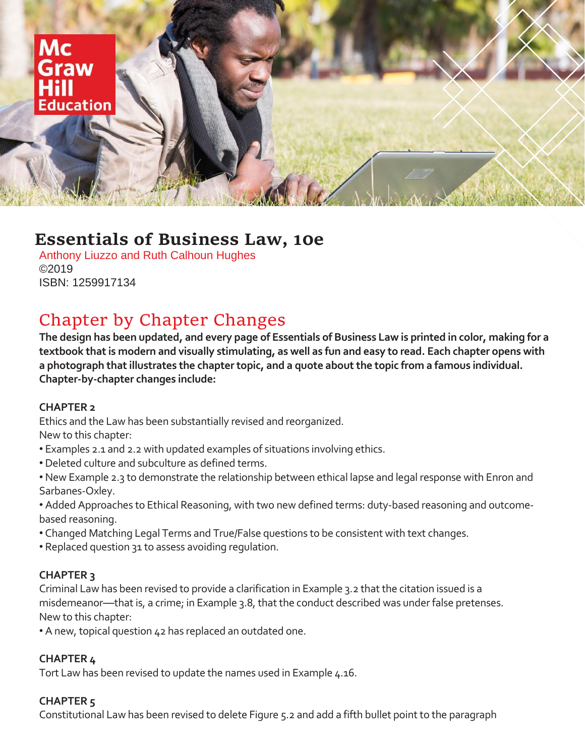

# **Essentials of Business Law, 10e**

Anthony Liuzzo and Ruth Calhoun Hughes ©2019 ISBN: 1259917134

# Chapter by Chapter Changes

**The design has been updated, and every page of Essentials of Business Law is printed in color, making for a textbook that is modern and visually stimulating, as well as fun and easy to read. Each chapter opens with a photograph that illustrates the chapter topic, and a quote about the topic from a famous individual. Chapter-by-chapter changes include:**

# **CHAPTER 2**

Ethics and the Law has been substantially revised and reorganized. New to this chapter:

- Examples 2.1 and 2.2 with updated examples of situations involving ethics.
- Deleted culture and subculture as defined terms.
- New Example 2.3 to demonstrate the relationship between ethical lapse and legal response with Enron and Sarbanes-Oxley.
- Added Approaches to Ethical Reasoning, with two new defined terms: duty-based reasoning and outcomebased reasoning.
- Changed Matching Legal Terms and True/False questions to be consistent with text changes.
- Replaced question 31 to assess avoiding regulation.

# **CHAPTER 3**

Criminal Law has been revised to provide a clarification in Example 3.2 that the citation issued is a misdemeanor—that is, a crime; in Example 3.8, that the conduct described was under false pretenses. New to this chapter:

• A new, topical question 42 has replaced an outdated one.

# **CHAPTER 4**

Tort Law has been revised to update the names used in Example 4.16.

# **CHAPTER 5**

Constitutional Law has been revised to delete Figure 5.2 and add a fifth bullet point to the paragraph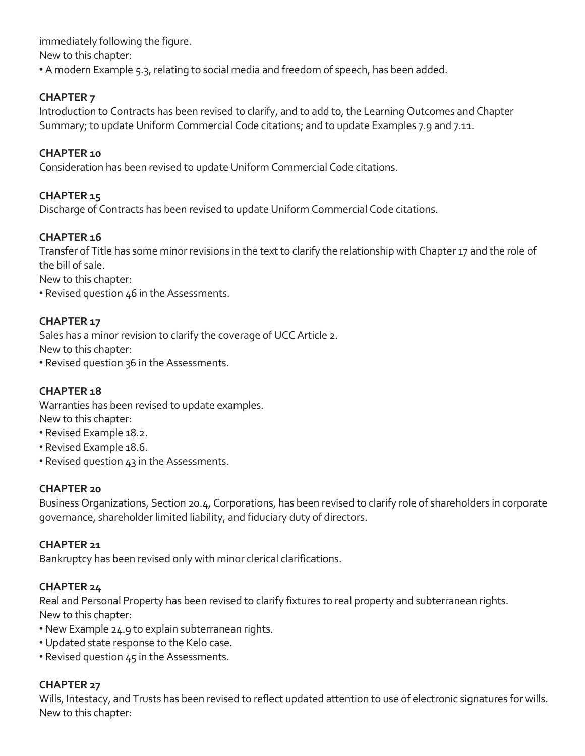immediately following the figure. New to this chapter: • A modern Example 5.3, relating to social media and freedom of speech, has been added.

# **CHAPTER 7**

Introduction to Contracts has been revised to clarify, and to add to, the Learning Outcomes and Chapter Summary; to update Uniform Commercial Code citations; and to update Examples 7.9 and 7.11.

# **CHAPTER 10**

Consideration has been revised to update Uniform Commercial Code citations.

# **CHAPTER 15**

Discharge of Contracts has been revised to update Uniform Commercial Code citations.

# **CHAPTER 16**

Transfer of Title has some minor revisions in the text to clarify the relationship with Chapter 17 and the role of the bill of sale.

New to this chapter:

• Revised question 46 in the Assessments.

#### **CHAPTER 17**

Sales has a minor revision to clarify the coverage of UCC Article 2.

New to this chapter:

• Revised question 36 in the Assessments.

# **CHAPTER 18**

Warranties has been revised to update examples. New to this chapter:

- Revised Example 18.2.
- Revised Example 18.6.
- Revised question 43 in the Assessments.

#### **CHAPTER 20**

Business Organizations, Section 20.4, Corporations, has been revised to clarify role of shareholders in corporate governance, shareholder limited liability, and fiduciary duty of directors.

#### **CHAPTER 21**

Bankruptcy has been revised only with minor clerical clarifications.

# **CHAPTER 24**

Real and Personal Property has been revised to clarify fixtures to real property and subterranean rights. New to this chapter:

- New Example 24.9 to explain subterranean rights.
- Updated state response to the Kelo case.
- Revised question 45 in the Assessments.

#### **CHAPTER 27**

Wills, Intestacy, and Trusts has been revised to reflect updated attention to use of electronic signatures for wills. New to this chapter: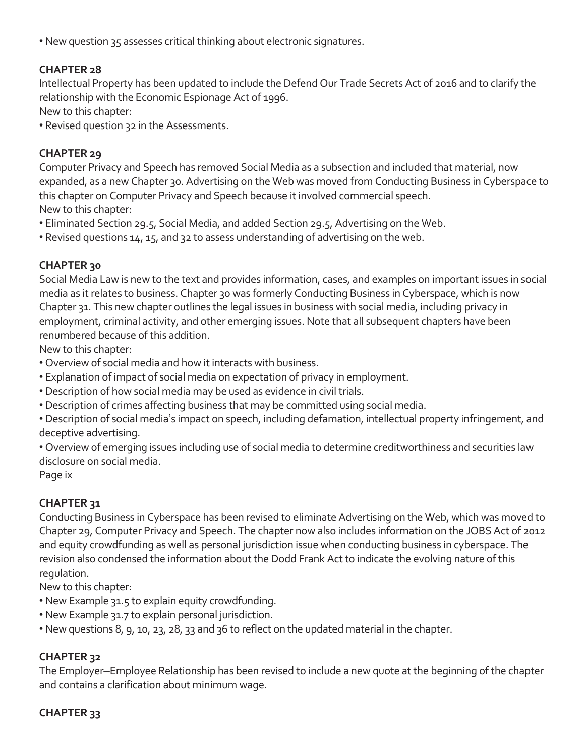• New question 35 assesses critical thinking about electronic signatures.

#### **CHAPTER 28**

Intellectual Property has been updated to include the Defend Our Trade Secrets Act of 2016 and to clarify the relationship with the Economic Espionage Act of 1996.

New to this chapter:

• Revised question 32 in the Assessments.

#### **CHAPTER 29**

Computer Privacy and Speech has removed Social Media as a subsection and included that material, now expanded, as a new Chapter 30. Advertising on the Web was moved from Conducting Business in Cyberspace to this chapter on Computer Privacy and Speech because it involved commercial speech. New to this chapter:

- Eliminated Section 29.5, Social Media, and added Section 29.5, Advertising on the Web.
- Revised questions 14, 15, and 32 to assess understanding of advertising on the web.

# **CHAPTER 30**

Social Media Law is new to the text and provides information, cases, and examples on important issues in social media as it relates to business. Chapter 30 was formerly Conducting Business in Cyberspace, which is now Chapter 31. This new chapter outlines the legal issues in business with social media, including privacy in employment, criminal activity, and other emerging issues. Note that all subsequent chapters have been renumbered because of this addition.

New to this chapter:

- Overview of social media and how it interacts with business.
- Explanation of impact of social media on expectation of privacy in employment.
- Description of how social media may be used as evidence in civil trials.
- Description of crimes affecting business that may be committed using social media.
- Description of social media's impact on speech, including defamation, intellectual property infringement, and deceptive advertising.

• Overview of emerging issues including use of social media to determine creditworthiness and securities law disclosure on social media.

Page ix

# **CHAPTER 31**

Conducting Business in Cyberspace has been revised to eliminate Advertising on the Web, which was moved to Chapter 29, Computer Privacy and Speech. The chapter now also includes information on the JOBS Act of 2012 and equity crowdfunding as well as personal jurisdiction issue when conducting business in cyberspace. The revision also condensed the information about the Dodd Frank Act to indicate the evolving nature of this regulation.

New to this chapter:

- New Example 31.5 to explain equity crowdfunding.
- New Example 31.7 to explain personal jurisdiction.
- New questions 8, 9, 10, 23, 28, 33 and 36 to reflect on the updated material in the chapter.

# **CHAPTER 32**

The Employer–Employee Relationship has been revised to include a new quote at the beginning of the chapter and contains a clarification about minimum wage.

# **CHAPTER 33**